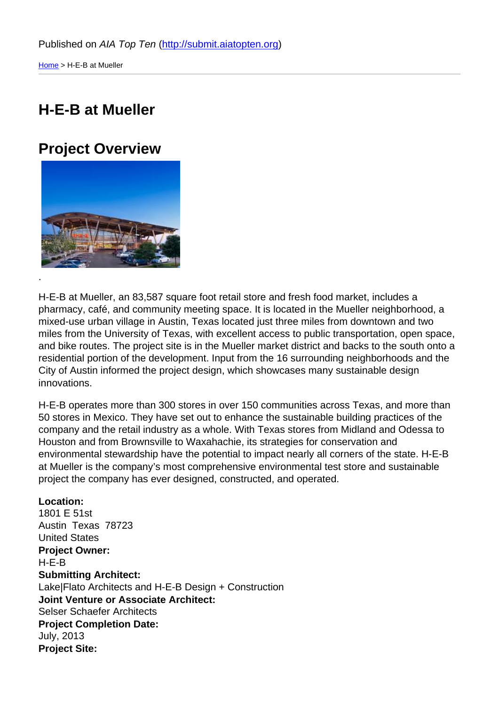### [H-E](http://submit.aiatopten.org/)-B at Mueller

#### Project Overview

.

H-E-B at Mueller, an 83,587 square foot retail store and fresh food market, includes a pharmacy, café, and community meeting space. It is located in the Mueller neighborhood, a mixed-use urban village in Austin, Texas located just three miles from downtown and two miles from the University of Texas, with excellent access to public transportation, open space, and bike routes. The project site is in the Mueller market district and backs to the south onto a residential portion of the development. Input from the 16 surrounding neighborhoods and the City of Austin informed the project design, which showcases many sustainable design innovations.

H-E-B operates more than 300 stores in over 150 communities across Texas, and more than 50 stores in Mexico. They have set out to enhance the sustainable building practices of the company and the retail industry as a whole. With Texas stores from Midland and Odessa to Houston and from Brownsville to Waxahachie, its strategies for conservation and environmental stewardship have the potential to impact nearly all corners of the state. H-E-B at Mueller is the company's most comprehensive environmental test store and sustainable project the company has ever designed, constructed, and operated.

Location: 1801 E 51st Austin Texas 78723 United States Project Owner: H-E-B Submitting Architect: Lake|Flato Architects and H-E-B Design + Construction Joint Venture or Associate Architect: Selser Schaefer Architects Project Completion Date: July, 2013 Project Site: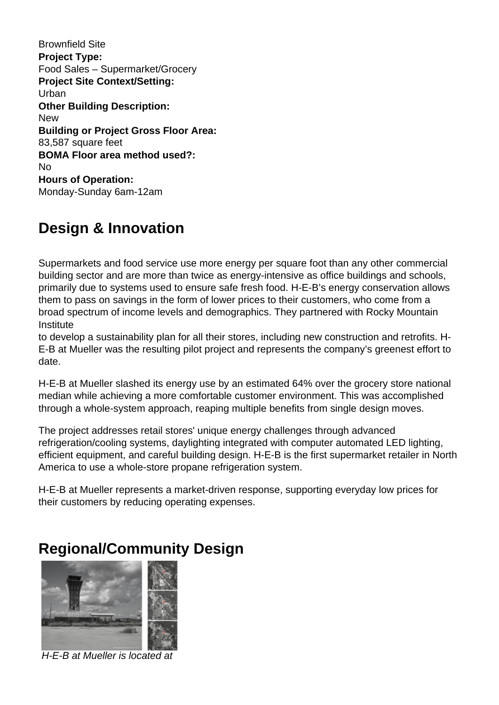Brownfield Site **Project Type:**  Food Sales – Supermarket/Grocery **Project Site Context/Setting:**  Urban **Other Building Description:**  New **Building or Project Gross Floor Area:**  83,587 square feet **BOMA Floor area method used?:**  No **Hours of Operation:**  Monday-Sunday 6am-12am

# **Design & Innovation**

Supermarkets and food service use more energy per square foot than any other commercial building sector and are more than twice as energy-intensive as office buildings and schools, primarily due to systems used to ensure safe fresh food. H-E-B's energy conservation allows them to pass on savings in the form of lower prices to their customers, who come from a broad spectrum of income levels and demographics. They partnered with Rocky Mountain **Institute** 

to develop a sustainability plan for all their stores, including new construction and retrofits. H-E-B at Mueller was the resulting pilot project and represents the company's greenest effort to date.

H-E-B at Mueller slashed its energy use by an estimated 64% over the grocery store national median while achieving a more comfortable customer environment. This was accomplished through a whole-system approach, reaping multiple benefits from single design moves.

The project addresses retail stores' unique energy challenges through advanced refrigeration/cooling systems, daylighting integrated with computer automated LED lighting, efficient equipment, and careful building design. H-E-B is the first supermarket retailer in North America to use a whole-store propane refrigeration system.

H-E-B at Mueller represents a market-driven response, supporting everyday low prices for their customers by reducing operating expenses.

# **Regional/Community Design**



H-E-B at Mueller is located at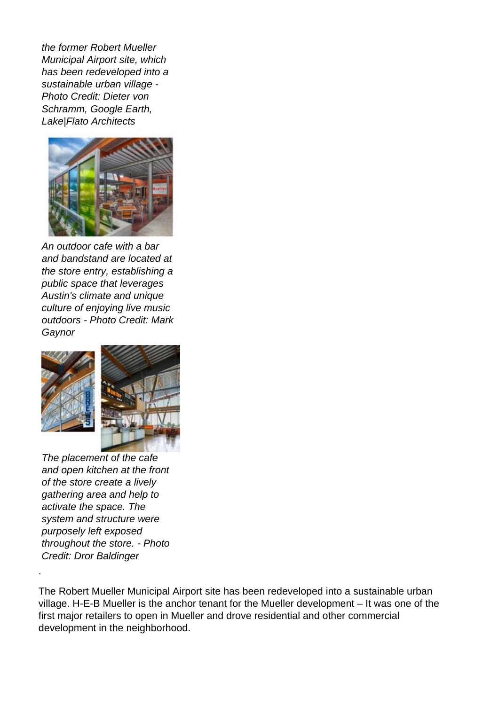the former Robert Mueller Municipal Airport site, which has been redeveloped into a sustainable urban village - Photo Credit: Dieter von Schramm, Google Earth, Lake|Flato Architects



An outdoor cafe with a bar and bandstand are located at the store entry, establishing a public space that leverages Austin's climate and unique culture of enjoying live music outdoors - Photo Credit: Mark Gaynor



The placement of the cafe and open kitchen at the front of the store create a lively gathering area and help to activate the space. The system and structure were purposely left exposed throughout the store. - Photo Credit: Dror Baldinger

.

The Robert Mueller Municipal Airport site has been redeveloped into a sustainable urban village. H-E-B Mueller is the anchor tenant for the Mueller development – It was one of the first major retailers to open in Mueller and drove residential and other commercial development in the neighborhood.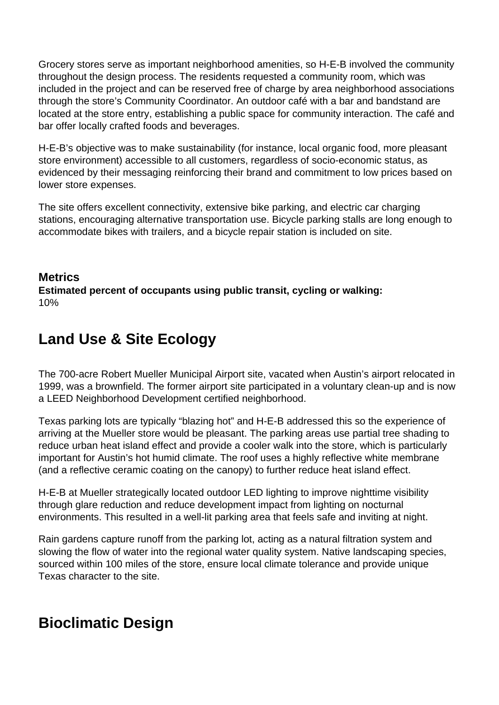Grocery stores serve as important neighborhood amenities, so H-E-B involved the community throughout the design process. The residents requested a community room, which was included in the project and can be reserved free of charge by area neighborhood associations through the store's Community Coordinator. An outdoor café with a bar and bandstand are located at the store entry, establishing a public space for community interaction. The café and bar offer locally crafted foods and beverages.

H-E-B's objective was to make sustainability (for instance, local organic food, more pleasant store environment) accessible to all customers, regardless of socio-economic status, as evidenced by their messaging reinforcing their brand and commitment to low prices based on lower store expenses.

The site offers excellent connectivity, extensive bike parking, and electric car charging stations, encouraging alternative transportation use. Bicycle parking stalls are long enough to accommodate bikes with trailers, and a bicycle repair station is included on site.

#### **Metrics Estimated percent of occupants using public transit, cycling or walking:**  10%

# **Land Use & Site Ecology**

The 700-acre Robert Mueller Municipal Airport site, vacated when Austin's airport relocated in 1999, was a brownfield. The former airport site participated in a voluntary clean-up and is now a LEED Neighborhood Development certified neighborhood.

Texas parking lots are typically "blazing hot" and H-E-B addressed this so the experience of arriving at the Mueller store would be pleasant. The parking areas use partial tree shading to reduce urban heat island effect and provide a cooler walk into the store, which is particularly important for Austin's hot humid climate. The roof uses a highly reflective white membrane (and a reflective ceramic coating on the canopy) to further reduce heat island effect.

H-E-B at Mueller strategically located outdoor LED lighting to improve nighttime visibility through glare reduction and reduce development impact from lighting on nocturnal environments. This resulted in a well-lit parking area that feels safe and inviting at night.

Rain gardens capture runoff from the parking lot, acting as a natural filtration system and slowing the flow of water into the regional water quality system. Native landscaping species, sourced within 100 miles of the store, ensure local climate tolerance and provide unique Texas character to the site.

# **Bioclimatic Design**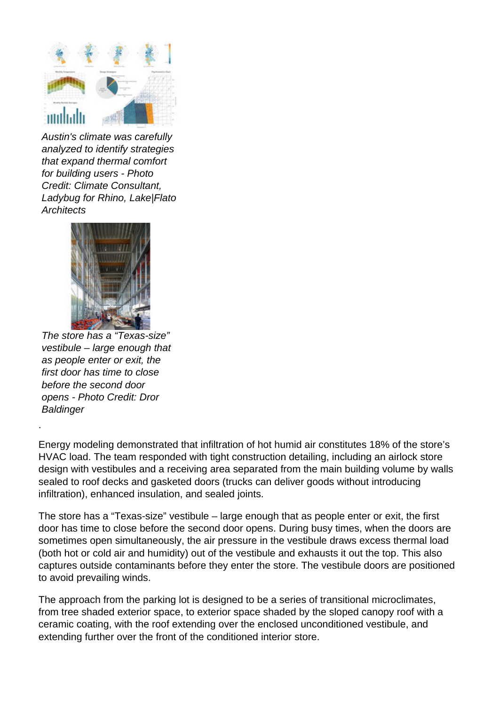

Austin's climate was carefully analyzed to identify strategies that expand thermal comfort for building users - Photo Credit: Climate Consultant, Ladybug for Rhino, Lake|Flato **Architects** 



The store has a "Texas-size" vestibule – large enough that as people enter or exit, the first door has time to close before the second door opens - Photo Credit: Dror **Baldinger** 

.

Energy modeling demonstrated that infiltration of hot humid air constitutes 18% of the store's HVAC load. The team responded with tight construction detailing, including an airlock store design with vestibules and a receiving area separated from the main building volume by walls sealed to roof decks and gasketed doors (trucks can deliver goods without introducing infiltration), enhanced insulation, and sealed joints.

The store has a "Texas-size" vestibule – large enough that as people enter or exit, the first door has time to close before the second door opens. During busy times, when the doors are sometimes open simultaneously, the air pressure in the vestibule draws excess thermal load (both hot or cold air and humidity) out of the vestibule and exhausts it out the top. This also captures outside contaminants before they enter the store. The vestibule doors are positioned to avoid prevailing winds.

The approach from the parking lot is designed to be a series of transitional microclimates, from tree shaded exterior space, to exterior space shaded by the sloped canopy roof with a ceramic coating, with the roof extending over the enclosed unconditioned vestibule, and extending further over the front of the conditioned interior store.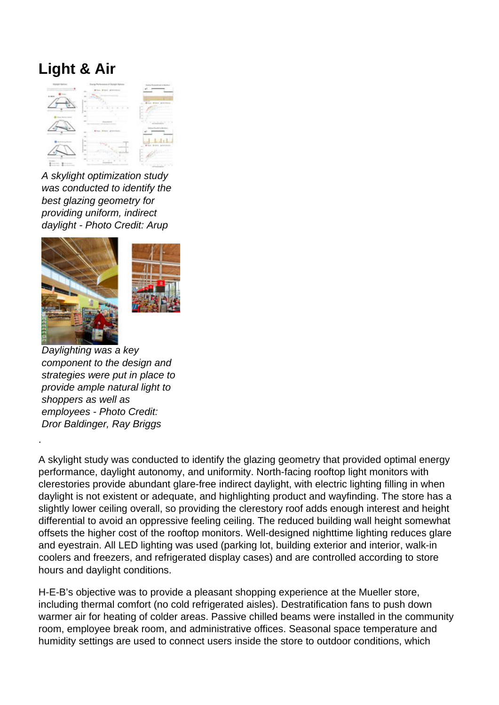# **Light & Air**



A skylight optimization study was conducted to identify the best glazing geometry for providing uniform, indirect daylight - Photo Credit: Arup





Daylighting was a key component to the design and strategies were put in place to provide ample natural light to shoppers as well as employees - Photo Credit: Dror Baldinger, Ray Briggs

.

A skylight study was conducted to identify the glazing geometry that provided optimal energy performance, daylight autonomy, and uniformity. North-facing rooftop light monitors with clerestories provide abundant glare-free indirect daylight, with electric lighting filling in when daylight is not existent or adequate, and highlighting product and wayfinding. The store has a slightly lower ceiling overall, so providing the clerestory roof adds enough interest and height differential to avoid an oppressive feeling ceiling. The reduced building wall height somewhat offsets the higher cost of the rooftop monitors. Well-designed nighttime lighting reduces glare and eyestrain. All LED lighting was used (parking lot, building exterior and interior, walk-in coolers and freezers, and refrigerated display cases) and are controlled according to store hours and daylight conditions.

H-E-B's objective was to provide a pleasant shopping experience at the Mueller store, including thermal comfort (no cold refrigerated aisles). Destratification fans to push down warmer air for heating of colder areas. Passive chilled beams were installed in the community room, employee break room, and administrative offices. Seasonal space temperature and humidity settings are used to connect users inside the store to outdoor conditions, which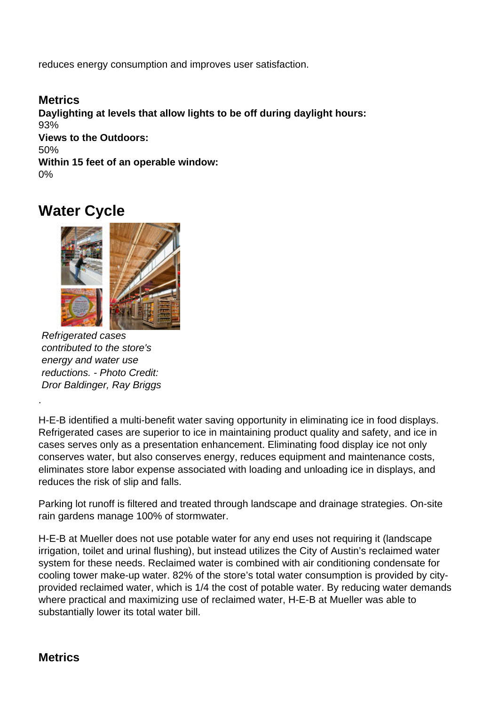reduces energy consumption and improves user satisfaction.

**Metrics Daylighting at levels that allow lights to be off during daylight hours:**  93% **Views to the Outdoors:**  50% **Within 15 feet of an operable window:**  0%

#### **Water Cycle**



Refrigerated cases contributed to the store's energy and water use reductions. - Photo Credit: Dror Baldinger, Ray Briggs

H-E-B identified a multi-benefit water saving opportunity in eliminating ice in food displays. Refrigerated cases are superior to ice in maintaining product quality and safety, and ice in cases serves only as a presentation enhancement. Eliminating food display ice not only conserves water, but also conserves energy, reduces equipment and maintenance costs, eliminates store labor expense associated with loading and unloading ice in displays, and reduces the risk of slip and falls.

Parking lot runoff is filtered and treated through landscape and drainage strategies. On-site rain gardens manage 100% of stormwater.

H-E-B at Mueller does not use potable water for any end uses not requiring it (landscape irrigation, toilet and urinal flushing), but instead utilizes the City of Austin's reclaimed water system for these needs. Reclaimed water is combined with air conditioning condensate for cooling tower make-up water. 82% of the store's total water consumption is provided by cityprovided reclaimed water, which is 1/4 the cost of potable water. By reducing water demands where practical and maximizing use of reclaimed water, H-E-B at Mueller was able to substantially lower its total water bill.

#### **Metrics**

.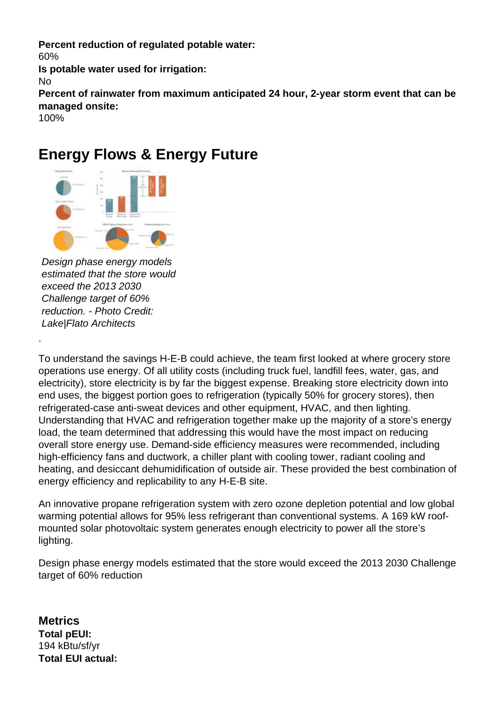**Percent reduction of regulated potable water:**  60% **Is potable water used for irrigation:**  No **Percent of rainwater from maximum anticipated 24 hour, 2-year storm event that can be managed onsite:**  100%

### **Energy Flows & Energy Future**



Design phase energy models estimated that the store would exceed the 2013 2030 Challenge target of 60% reduction. - Photo Credit: Lake|Flato Architects

.

To understand the savings H-E-B could achieve, the team first looked at where grocery store operations use energy. Of all utility costs (including truck fuel, landfill fees, water, gas, and electricity), store electricity is by far the biggest expense. Breaking store electricity down into end uses, the biggest portion goes to refrigeration (typically 50% for grocery stores), then refrigerated-case anti-sweat devices and other equipment, HVAC, and then lighting. Understanding that HVAC and refrigeration together make up the majority of a store's energy load, the team determined that addressing this would have the most impact on reducing overall store energy use. Demand-side efficiency measures were recommended, including high-efficiency fans and ductwork, a chiller plant with cooling tower, radiant cooling and heating, and desiccant dehumidification of outside air. These provided the best combination of energy efficiency and replicability to any H-E-B site.

An innovative propane refrigeration system with zero ozone depletion potential and low global warming potential allows for 95% less refrigerant than conventional systems. A 169 kW roofmounted solar photovoltaic system generates enough electricity to power all the store's lighting.

Design phase energy models estimated that the store would exceed the 2013 2030 Challenge target of 60% reduction

**Metrics Total pEUI:**  194 kBtu/sf/yr **Total EUI actual:**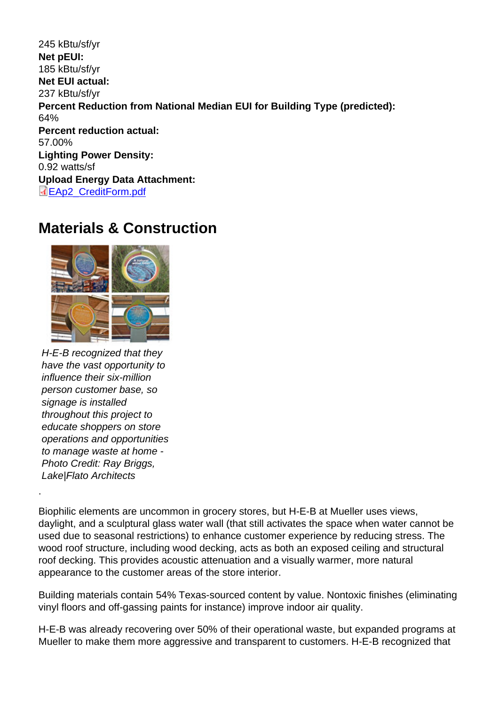245 kBtu/sf/yr Net pEUI: 185 kBtu/sf/yr Net EUI actual: 237 kBtu/sf/yr Percent Reduction from National Median EUI for Building Type (predicted): 64% Percent reduction actual: 57.00% Lighting Power Density: 0.92 watts/sf Upload Energy Data Attachment: EAp2\_CreditForm.pdf

#### [Materials & Con](http://submit.aiatopten.org/sites/default/files/EAp2_CreditForm.pdf)struction

H-E-B recognized that they have the vast opportunity to influence their six-million person customer base, so signage is installed throughout this project to educate shoppers on store operations and opportunities to manage waste at home - Photo Credit: Ray Briggs, Lake|Flato Architects

.

Biophilic elements are uncommon in grocery stores, but H-E-B at Mueller uses views, daylight, and a sculptural glass water wall (that still activates the space when water cannot be used due to seasonal restrictions) to enhance customer experience by reducing stress. The wood roof structure, including wood decking, acts as both an exposed ceiling and structural roof decking. This provides acoustic attenuation and a visually warmer, more natural appearance to the customer areas of the store interior.

Building materials contain 54% Texas-sourced content by value. Nontoxic finishes (eliminating vinyl floors and off-gassing paints for instance) improve indoor air quality.

H-E-B was already recovering over 50% of their operational waste, but expanded programs at Mueller to make them more aggressive and transparent to customers. H-E-B recognized that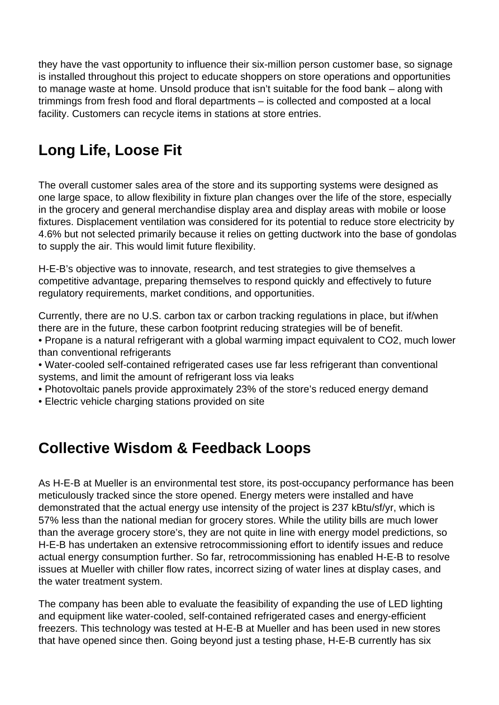they have the vast opportunity to influence their six-million person customer base, so signage is installed throughout this project to educate shoppers on store operations and opportunities to manage waste at home. Unsold produce that isn't suitable for the food bank – along with trimmings from fresh food and floral departments – is collected and composted at a local facility. Customers can recycle items in stations at store entries.

# **Long Life, Loose Fit**

The overall customer sales area of the store and its supporting systems were designed as one large space, to allow flexibility in fixture plan changes over the life of the store, especially in the grocery and general merchandise display area and display areas with mobile or loose fixtures. Displacement ventilation was considered for its potential to reduce store electricity by 4.6% but not selected primarily because it relies on getting ductwork into the base of gondolas to supply the air. This would limit future flexibility.

H-E-B's objective was to innovate, research, and test strategies to give themselves a competitive advantage, preparing themselves to respond quickly and effectively to future regulatory requirements, market conditions, and opportunities.

Currently, there are no U.S. carbon tax or carbon tracking regulations in place, but if/when there are in the future, these carbon footprint reducing strategies will be of benefit.

• Propane is a natural refrigerant with a global warming impact equivalent to CO2, much lower than conventional refrigerants

- Water-cooled self-contained refrigerated cases use far less refrigerant than conventional systems, and limit the amount of refrigerant loss via leaks
- Photovoltaic panels provide approximately 23% of the store's reduced energy demand
- Electric vehicle charging stations provided on site

### **Collective Wisdom & Feedback Loops**

As H-E-B at Mueller is an environmental test store, its post-occupancy performance has been meticulously tracked since the store opened. Energy meters were installed and have demonstrated that the actual energy use intensity of the project is 237 kBtu/sf/yr, which is 57% less than the national median for grocery stores. While the utility bills are much lower than the average grocery store's, they are not quite in line with energy model predictions, so H-E-B has undertaken an extensive retrocommissioning effort to identify issues and reduce actual energy consumption further. So far, retrocommissioning has enabled H-E-B to resolve issues at Mueller with chiller flow rates, incorrect sizing of water lines at display cases, and the water treatment system.

The company has been able to evaluate the feasibility of expanding the use of LED lighting and equipment like water-cooled, self-contained refrigerated cases and energy-efficient freezers. This technology was tested at H-E-B at Mueller and has been used in new stores that have opened since then. Going beyond just a testing phase, H-E-B currently has six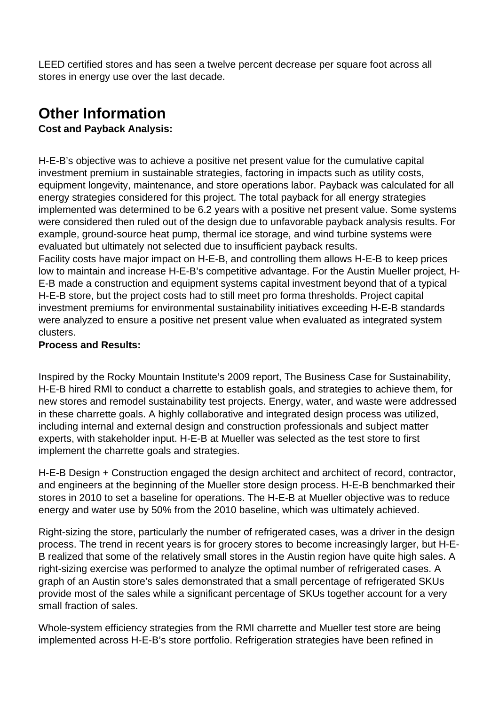LEED certified stores and has seen a twelve percent decrease per square foot across all stores in energy use over the last decade.

# **Other Information**

**Cost and Payback Analysis:** 

H-E-B's objective was to achieve a positive net present value for the cumulative capital investment premium in sustainable strategies, factoring in impacts such as utility costs, equipment longevity, maintenance, and store operations labor. Payback was calculated for all energy strategies considered for this project. The total payback for all energy strategies implemented was determined to be 6.2 years with a positive net present value. Some systems were considered then ruled out of the design due to unfavorable payback analysis results. For example, ground-source heat pump, thermal ice storage, and wind turbine systems were evaluated but ultimately not selected due to insufficient payback results.

Facility costs have major impact on H-E-B, and controlling them allows H-E-B to keep prices low to maintain and increase H-E-B's competitive advantage. For the Austin Mueller project, H-E-B made a construction and equipment systems capital investment beyond that of a typical H-E-B store, but the project costs had to still meet pro forma thresholds. Project capital investment premiums for environmental sustainability initiatives exceeding H-E-B standards were analyzed to ensure a positive net present value when evaluated as integrated system clusters.

#### **Process and Results:**

Inspired by the Rocky Mountain Institute's 2009 report, The Business Case for Sustainability, H-E-B hired RMI to conduct a charrette to establish goals, and strategies to achieve them, for new stores and remodel sustainability test projects. Energy, water, and waste were addressed in these charrette goals. A highly collaborative and integrated design process was utilized, including internal and external design and construction professionals and subject matter experts, with stakeholder input. H-E-B at Mueller was selected as the test store to first implement the charrette goals and strategies.

H-E-B Design + Construction engaged the design architect and architect of record, contractor, and engineers at the beginning of the Mueller store design process. H-E-B benchmarked their stores in 2010 to set a baseline for operations. The H-E-B at Mueller objective was to reduce energy and water use by 50% from the 2010 baseline, which was ultimately achieved.

Right-sizing the store, particularly the number of refrigerated cases, was a driver in the design process. The trend in recent years is for grocery stores to become increasingly larger, but H-E-B realized that some of the relatively small stores in the Austin region have quite high sales. A right-sizing exercise was performed to analyze the optimal number of refrigerated cases. A graph of an Austin store's sales demonstrated that a small percentage of refrigerated SKUs provide most of the sales while a significant percentage of SKUs together account for a very small fraction of sales.

Whole-system efficiency strategies from the RMI charrette and Mueller test store are being implemented across H-E-B's store portfolio. Refrigeration strategies have been refined in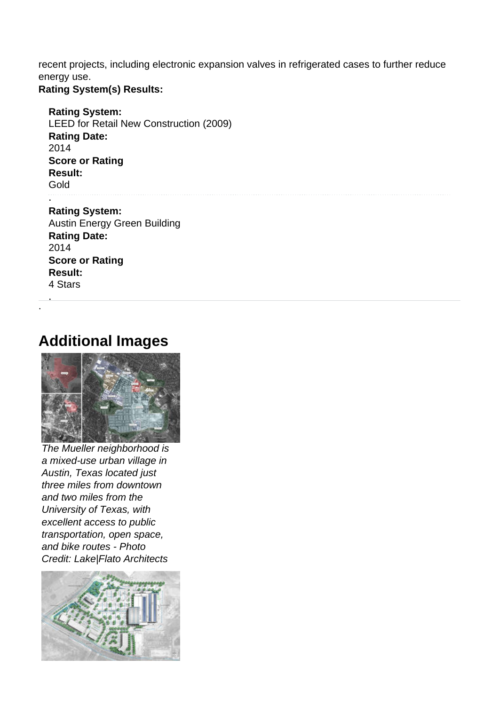recent projects, including electronic expansion valves in refrigerated cases to further reduce energy use.

#### **Rating System(s) Results:**

**Rating System:**  LEED for Retail New Construction (2009) **Rating Date:**  2014 **Score or Rating Result:**  Gold . **Rating System:**  Austin Energy Green Building **Rating Date:** 

2014 **Score or Rating Result:**  4 Stars

. .

### **Additional Images**



The Mueller neighborhood is a mixed-use urban village in Austin, Texas located just three miles from downtown and two miles from the University of Texas, with excellent access to public transportation, open space, and bike routes - Photo Credit: Lake|Flato Architects

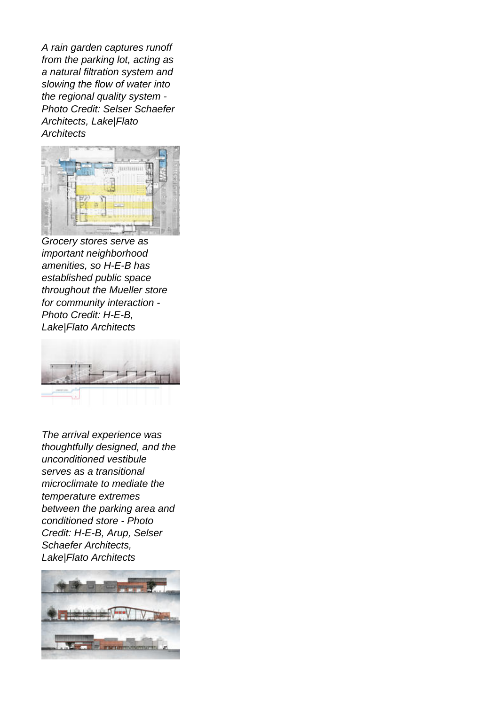A rain garden captures runoff from the parking lot, acting as a natural filtration system and slowing the flow of water into the regional quality system - Photo Credit: Selser Schaefer Architects, Lake|Flato **Architects** 



Grocery stores serve as important neighborhood amenities, so H-E-B has established public space throughout the Mueller store for community interaction - Photo Credit: H-E-B, Lake|Flato Architects



The arrival experience was thoughtfully designed, and the unconditioned vestibule serves as a transitional microclimate to mediate the temperature extremes between the parking area and conditioned store - Photo Credit: H-E-B, Arup, Selser Schaefer Architects, Lake|Flato Architects

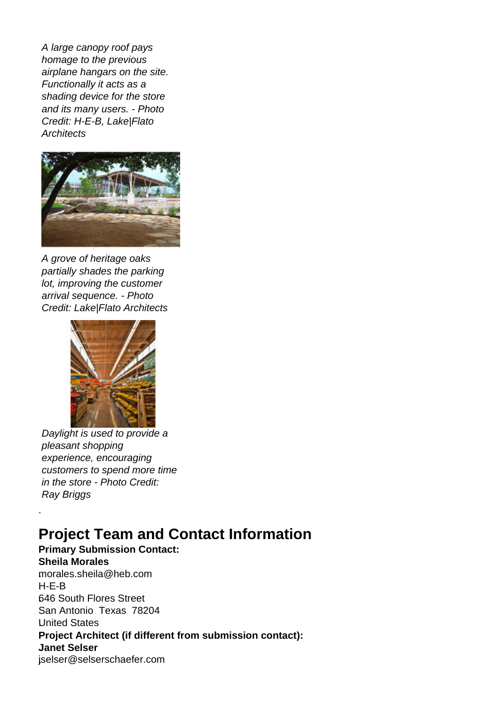A large canopy roof pays homage to the previous airplane hangars on the site. Functionally it acts as a shading device for the store and its many users. - Photo Credit: H-E-B, Lake|Flato **Architects** 



A grove of heritage oaks partially shades the parking lot, improving the customer arrival sequence. - Photo Credit: Lake|Flato Architects



Daylight is used to provide a pleasant shopping experience, encouraging customers to spend more time in the store - Photo Credit: Ray Briggs

.

# **Project Team and Contact Information**

**Primary Submission Contact: Sheila Morales .**morales.sheila@heb.com .H-E-B **.**646 South Flores Street San Antonio Texas 78204 .United States **Project Architect (if different from submission contact): Janet Selser .**jselser@selserschaefer.com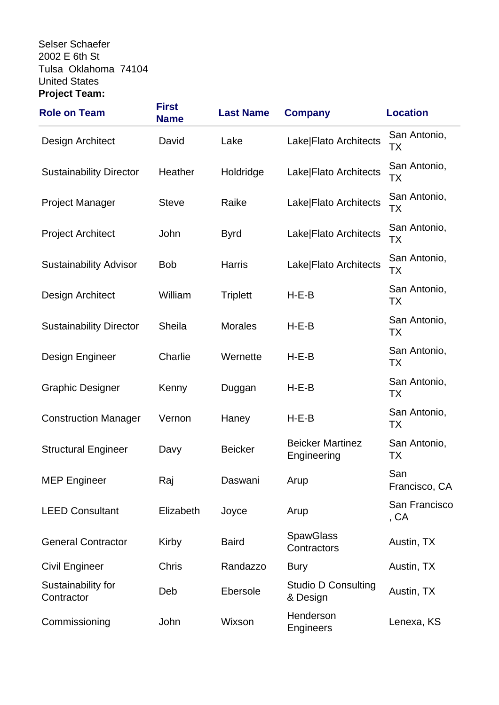.Selser Schaefer . **.**2002 E 6th St Tulsa Oklahoma 74104 .United States **Project Team:** 

| <b>Role on Team</b>              | <b>First</b><br><b>Name</b> | <b>Last Name</b> | <b>Company</b>                         | <b>Location</b>           |
|----------------------------------|-----------------------------|------------------|----------------------------------------|---------------------------|
| Design Architect                 | David                       | Lake             | Lake Flato Architects                  | San Antonio,<br>TХ        |
| <b>Sustainability Director</b>   | Heather                     | Holdridge        | Lake Flato Architects                  | San Antonio,<br>ТX        |
| <b>Project Manager</b>           | <b>Steve</b>                | Raike            | Lake Flato Architects                  | San Antonio,<br>ТX        |
| <b>Project Architect</b>         | John                        | <b>Byrd</b>      | Lake Flato Architects                  | San Antonio,<br>ТX        |
| <b>Sustainability Advisor</b>    | <b>Bob</b>                  | <b>Harris</b>    | Lake Flato Architects                  | San Antonio,<br>ТX        |
| Design Architect                 | William                     | <b>Triplett</b>  | $H-E-B$                                | San Antonio,<br>TX        |
| <b>Sustainability Director</b>   | Sheila                      | <b>Morales</b>   | $H-E-B$                                | San Antonio,<br>ТX        |
| Design Engineer                  | Charlie                     | Wernette         | $H-E-B$                                | San Antonio,<br>TX        |
| <b>Graphic Designer</b>          | Kenny                       | Duggan           | $H-E-B$                                | San Antonio,<br>TX        |
| <b>Construction Manager</b>      | Vernon                      | Haney            | $H-E-B$                                | San Antonio,<br><b>TX</b> |
| <b>Structural Engineer</b>       | Davy                        | <b>Beicker</b>   | <b>Beicker Martinez</b><br>Engineering | San Antonio,<br>ТX        |
| <b>MEP Engineer</b>              | Raj                         | Daswani          | Arup                                   | San<br>Francisco, CA      |
| <b>LEED Consultant</b>           | Elizabeth                   | Joyce            | Arup                                   | San Francisco<br>, CA     |
| <b>General Contractor</b>        | Kirby                       | <b>Baird</b>     | <b>SpawGlass</b><br>Contractors        | Austin, TX                |
| <b>Civil Engineer</b>            | Chris                       | Randazzo         | <b>Bury</b>                            | Austin, TX                |
| Sustainability for<br>Contractor | Deb                         | Ebersole         | <b>Studio D Consulting</b><br>& Design | Austin, TX                |
| Commissioning                    | John                        | Wixson           | Henderson<br>Engineers                 | Lenexa, KS                |